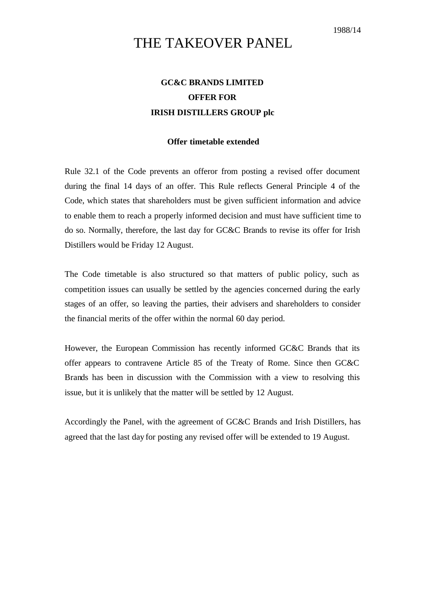## THE TAKEOVER PANEL

## **GC&C BRANDS LIMITED OFFER FOR IRISH DISTILLERS GROUP plc**

## **Offer timetable extended**

Rule 32.1 of the Code prevents an offeror from posting a revised offer document during the final 14 days of an offer. This Rule reflects General Principle 4 of the Code, which states that shareholders must be given sufficient information and advice to enable them to reach a properly informed decision and must have sufficient time to do so. Normally, therefore, the last day for GC&C Brands to revise its offer for Irish Distillers would be Friday 12 August.

The Code timetable is also structured so that matters of public policy, such as competition issues can usually be settled by the agencies concerned during the early stages of an offer, so leaving the parties, their advisers and shareholders to consider the financial merits of the offer within the normal 60 day period.

However, the European Commission has recently informed GC&C Brands that its offer appears to contravene Article 85 of the Treaty of Rome. Since then GC&C Brands has been in discussion with the Commission with a view to resolving this issue, but it is unlikely that the matter will be settled by 12 August.

Accordingly the Panel, with the agreement of GC&C Brands and Irish Distillers, has agreed that the last day for posting any revised offer will be extended to 19 August.